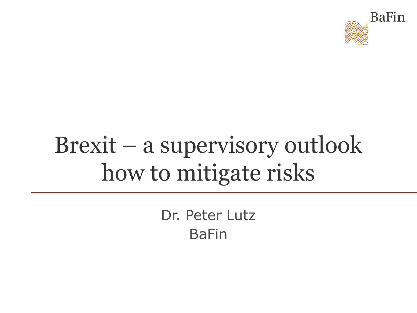

# Brexit – a supervisory outlook how to mitigate risks

Dr. Peter Lutz BaFin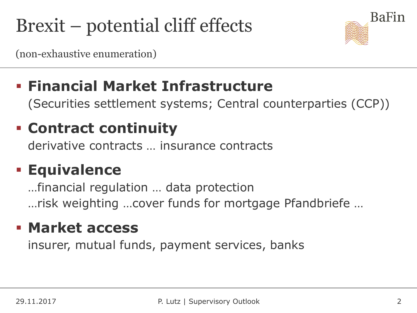# Brexit – potential cliff effects



(non-exhaustive enumeration)

### **Financial Market Infrastructure**

(Securities settlement systems; Central counterparties (CCP))

### **Contract continuity**

derivative contracts … insurance contracts

### **Equivalence**

…financial regulation … data protection …risk weighting …cover funds for mortgage Pfandbriefe …

#### **Market access**

insurer, mutual funds, payment services, banks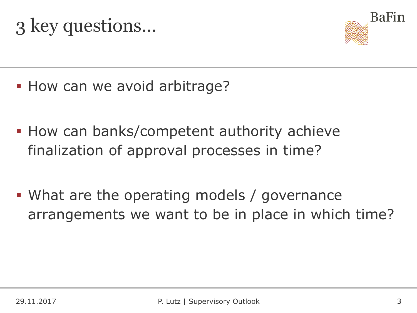## 3 key questions…



- **How can we avoid arbitrage?**
- **How can banks/competent authority achieve** finalization of approval processes in time?
- What are the operating models / governance arrangements we want to be in place in which time?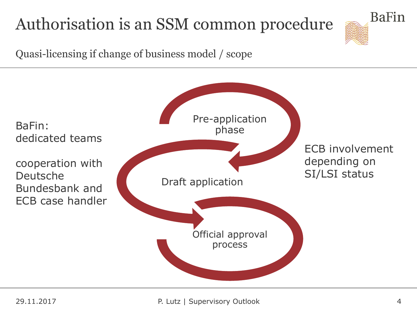### Authorisation is an SSM common procedure



Quasi-licensing if change of business model / scope

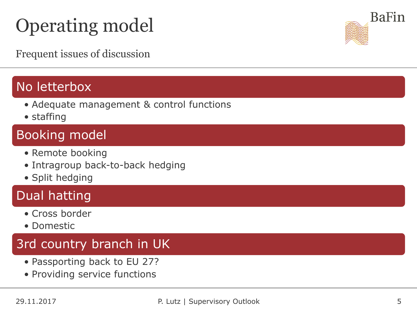# Operating model

Frequent issues of discussion

#### No letterbox

- Adequate management & control functions
- staffing

#### Booking model

- Remote booking
- Intragroup back-to-back hedging
- Split hedging

#### Dual hatting

- Cross border
- Domestic

#### 3rd country branch in UK

- Passporting back to EU 27?
- Providing service functions

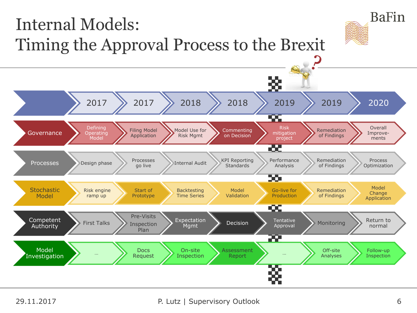